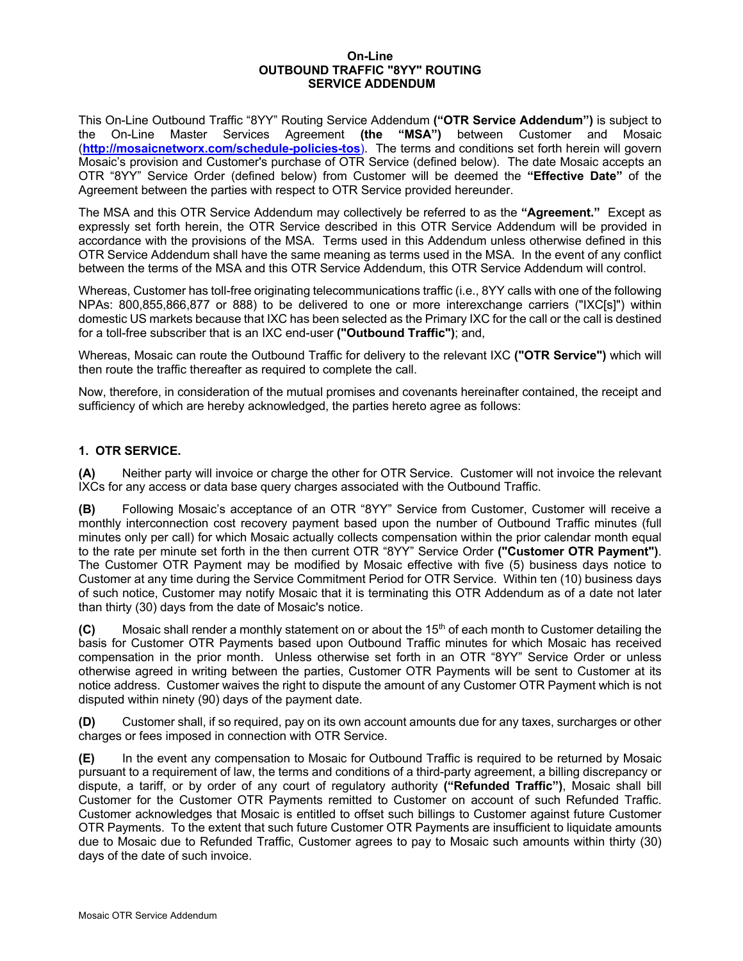#### **On-Line OUTBOUND TRAFFIC "8YY" ROUTING SERVICE ADDENDUM**

This On-Line Outbound Traffic "8YY" Routing Service Addendum **("OTR Service Addendum")** is subject to the On-Line Master Services Agreement **(the "MSA")** between Customer and Mosaic (**http://mosaicnetworx.com/schedule-policies-tos**). The terms and conditions set forth herein will govern Mosaic's provision and Customer's purchase of OTR Service (defined below). The date Mosaic accepts an OTR "8YY" Service Order (defined below) from Customer will be deemed the **"Effective Date"** of the Agreement between the parties with respect to OTR Service provided hereunder.

The MSA and this OTR Service Addendum may collectively be referred to as the **"Agreement."** Except as expressly set forth herein, the OTR Service described in this OTR Service Addendum will be provided in accordance with the provisions of the MSA. Terms used in this Addendum unless otherwise defined in this OTR Service Addendum shall have the same meaning as terms used in the MSA. In the event of any conflict between the terms of the MSA and this OTR Service Addendum, this OTR Service Addendum will control.

Whereas, Customer has toll-free originating telecommunications traffic (i.e., 8YY calls with one of the following NPAs: 800,855,866,877 or 888) to be delivered to one or more interexchange carriers ("IXC[s]") within domestic US markets because that IXC has been selected as the Primary IXC for the call or the call is destined for a toll-free subscriber that is an IXC end-user **("Outbound Traffic")**; and,

Whereas, Mosaic can route the Outbound Traffic for delivery to the relevant IXC **("OTR Service")** which will then route the traffic thereafter as required to complete the call.

Now, therefore, in consideration of the mutual promises and covenants hereinafter contained, the receipt and sufficiency of which are hereby acknowledged, the parties hereto agree as follows:

# **1. OTR SERVICE.**

**(A)** Neither party will invoice or charge the other for OTR Service. Customer will not invoice the relevant IXCs for any access or data base query charges associated with the Outbound Traffic.

**(B)** Following Mosaic's acceptance of an OTR "8YY" Service from Customer, Customer will receive a monthly interconnection cost recovery payment based upon the number of Outbound Traffic minutes (full minutes only per call) for which Mosaic actually collects compensation within the prior calendar month equal to the rate per minute set forth in the then current OTR "8YY" Service Order **("Customer OTR Payment")**. The Customer OTR Payment may be modified by Mosaic effective with five (5) business days notice to Customer at any time during the Service Commitment Period for OTR Service. Within ten (10) business days of such notice, Customer may notify Mosaic that it is terminating this OTR Addendum as of a date not later than thirty (30) days from the date of Mosaic's notice.

**(C)** Mosaic shall render a monthly statement on or about the 15<sup>th</sup> of each month to Customer detailing the basis for Customer OTR Payments based upon Outbound Traffic minutes for which Mosaic has received compensation in the prior month. Unless otherwise set forth in an OTR "8YY" Service Order or unless otherwise agreed in writing between the parties, Customer OTR Payments will be sent to Customer at its notice address. Customer waives the right to dispute the amount of any Customer OTR Payment which is not disputed within ninety (90) days of the payment date.

**(D)** Customer shall, if so required, pay on its own account amounts due for any taxes, surcharges or other charges or fees imposed in connection with OTR Service.

**(E)** In the event any compensation to Mosaic for Outbound Traffic is required to be returned by Mosaic pursuant to a requirement of law, the terms and conditions of a third-party agreement, a billing discrepancy or dispute, a tariff, or by order of any court of regulatory authority **("Refunded Traffic")**, Mosaic shall bill Customer for the Customer OTR Payments remitted to Customer on account of such Refunded Traffic. Customer acknowledges that Mosaic is entitled to offset such billings to Customer against future Customer OTR Payments. To the extent that such future Customer OTR Payments are insufficient to liquidate amounts due to Mosaic due to Refunded Traffic, Customer agrees to pay to Mosaic such amounts within thirty (30) days of the date of such invoice.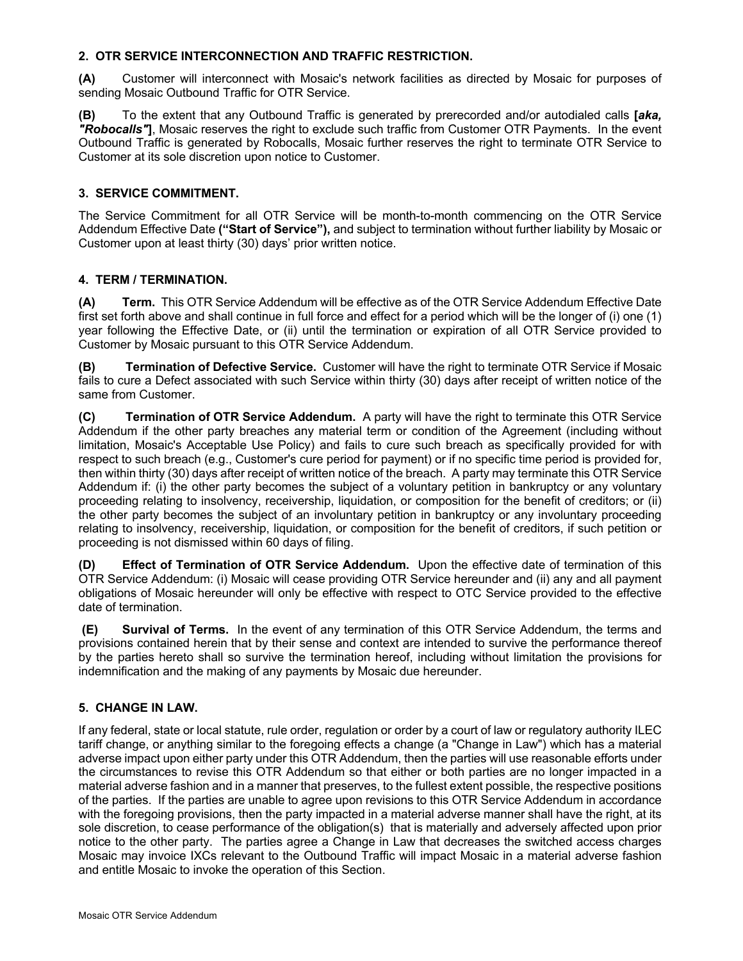## **2. OTR SERVICE INTERCONNECTION AND TRAFFIC RESTRICTION.**

**(A)** Customer will interconnect with Mosaic's network facilities as directed by Mosaic for purposes of sending Mosaic Outbound Traffic for OTR Service.

**(B)** To the extent that any Outbound Traffic is generated by prerecorded and/or autodialed calls **[***aka, "Robocalls"***]**, Mosaic reserves the right to exclude such traffic from Customer OTR Payments. In the event Outbound Traffic is generated by Robocalls, Mosaic further reserves the right to terminate OTR Service to Customer at its sole discretion upon notice to Customer.

## **3. SERVICE COMMITMENT.**

The Service Commitment for all OTR Service will be month-to-month commencing on the OTR Service Addendum Effective Date **("Start of Service"),** and subject to termination without further liability by Mosaic or Customer upon at least thirty (30) days' prior written notice.

### **4. TERM / TERMINATION.**

**(A) Term.** This OTR Service Addendum will be effective as of the OTR Service Addendum Effective Date first set forth above and shall continue in full force and effect for a period which will be the longer of (i) one (1) year following the Effective Date, or (ii) until the termination or expiration of all OTR Service provided to Customer by Mosaic pursuant to this OTR Service Addendum.

**(B) Termination of Defective Service.** Customer will have the right to terminate OTR Service if Mosaic fails to cure a Defect associated with such Service within thirty (30) days after receipt of written notice of the same from Customer.

**(C) Termination of OTR Service Addendum.** A party will have the right to terminate this OTR Service Addendum if the other party breaches any material term or condition of the Agreement (including without limitation, Mosaic's Acceptable Use Policy) and fails to cure such breach as specifically provided for with respect to such breach (e.g., Customer's cure period for payment) or if no specific time period is provided for, then within thirty (30) days after receipt of written notice of the breach. A party may terminate this OTR Service Addendum if: (i) the other party becomes the subject of a voluntary petition in bankruptcy or any voluntary proceeding relating to insolvency, receivership, liquidation, or composition for the benefit of creditors; or (ii) the other party becomes the subject of an involuntary petition in bankruptcy or any involuntary proceeding relating to insolvency, receivership, liquidation, or composition for the benefit of creditors, if such petition or proceeding is not dismissed within 60 days of filing.

**(D) Effect of Termination of OTR Service Addendum.** Upon the effective date of termination of this OTR Service Addendum: (i) Mosaic will cease providing OTR Service hereunder and (ii) any and all payment obligations of Mosaic hereunder will only be effective with respect to OTC Service provided to the effective date of termination.

**(E) Survival of Terms.** In the event of any termination of this OTR Service Addendum, the terms and provisions contained herein that by their sense and context are intended to survive the performance thereof by the parties hereto shall so survive the termination hereof, including without limitation the provisions for indemnification and the making of any payments by Mosaic due hereunder.

# **5. CHANGE IN LAW.**

If any federal, state or local statute, rule order, regulation or order by a court of law or regulatory authority ILEC tariff change, or anything similar to the foregoing effects a change (a "Change in Law") which has a material adverse impact upon either party under this OTR Addendum, then the parties will use reasonable efforts under the circumstances to revise this OTR Addendum so that either or both parties are no longer impacted in a material adverse fashion and in a manner that preserves, to the fullest extent possible, the respective positions of the parties. If the parties are unable to agree upon revisions to this OTR Service Addendum in accordance with the foregoing provisions, then the party impacted in a material adverse manner shall have the right, at its sole discretion, to cease performance of the obligation(s) that is materially and adversely affected upon prior notice to the other party. The parties agree a Change in Law that decreases the switched access charges Mosaic may invoice IXCs relevant to the Outbound Traffic will impact Mosaic in a material adverse fashion and entitle Mosaic to invoke the operation of this Section.